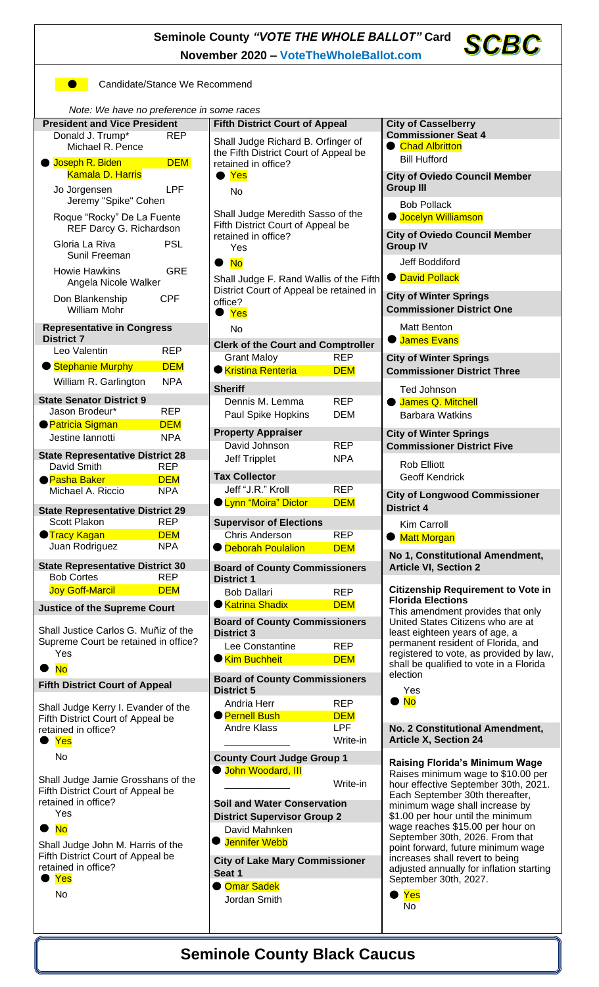**Seminole County** *"VOTE THE WHOLE BALLOT"* **Card November 2020 – [VoteTheWholeBallot.com](http://www.votethewholeballot.com/)**

**SCBC** 

**Candidate/Stance We Recommend** 

*Note: We have no preference in some races*

| <u>NULO: MOTIQNO NO DICIOI UNOC INTOVINO TACCO</u><br><b>President and Vice President</b> |            | <b>Fifth District Court of Appeal</b>                                                              |            | <b>City of Casselberry</b>                                                 |
|-------------------------------------------------------------------------------------------|------------|----------------------------------------------------------------------------------------------------|------------|----------------------------------------------------------------------------|
| Donald J. Trump*<br><b>REP</b><br>Michael R. Pence<br><b>DEM</b><br>● Joseph R. Biden     |            | Shall Judge Richard B. Orfinger of<br>the Fifth District Court of Appeal be<br>retained in office? |            | <b>Commissioner Seat 4</b><br>● Chad Albritton                             |
|                                                                                           |            |                                                                                                    |            |                                                                            |
|                                                                                           |            |                                                                                                    |            | <b>Kamala D. Harris</b>                                                    |
| LPF<br>Jo Jorgensen<br>Jeremy "Spike" Cohen                                               |            | <b>Group III</b><br><b>Bob Pollack</b>                                                             |            |                                                                            |
| Roque "Rocky" De La Fuente                                                                |            | Shall Judge Meredith Sasso of the                                                                  |            | <b>O</b> Jocelyn Williamson                                                |
| REF Darcy G. Richardson                                                                   |            | Fifth District Court of Appeal be                                                                  |            |                                                                            |
| Gloria La Riva<br><b>PSL</b>                                                              |            | retained in office?<br>Yes                                                                         |            | <b>City of Oviedo Council Member</b><br><b>Group IV</b>                    |
| Sunil Freeman                                                                             |            |                                                                                                    |            |                                                                            |
| <b>GRE</b><br><b>Howie Hawkins</b>                                                        |            | <b>No</b><br>$\bullet$                                                                             |            | Jeff Boddiford                                                             |
| Angela Nicole Walker                                                                      |            | Shall Judge F. Rand Wallis of the Fifth                                                            |            | <b>O</b> David Pollack                                                     |
| Don Blankenship<br><b>CPF</b><br><b>William Mohr</b>                                      |            | District Court of Appeal be retained in<br>office?<br>Yes<br>No                                    |            | <b>City of Winter Springs</b>                                              |
|                                                                                           |            |                                                                                                    |            | <b>Commissioner District One</b>                                           |
| <b>Representative in Congress</b>                                                         |            |                                                                                                    |            | Matt Benton                                                                |
| <b>District 7</b>                                                                         |            | <b>Clerk of the Court and Comptroller</b>                                                          |            | <b>C</b> James Evans                                                       |
| Leo Valentin                                                                              | <b>REP</b> | <b>Grant Maloy</b>                                                                                 | <b>REP</b> | <b>City of Winter Springs</b>                                              |
| Stephanie Murphy                                                                          | <b>DEM</b> | <b>Kristina Renteria</b>                                                                           | <b>DEM</b> | <b>Commissioner District Three</b>                                         |
| William R. Garlington                                                                     | <b>NPA</b> |                                                                                                    |            |                                                                            |
| <b>State Senator District 9</b>                                                           |            | <b>Sheriff</b><br>Dennis M. Lemma                                                                  | <b>REP</b> | Ted Johnson<br>James Q. Mitchell<br>$\bullet$                              |
| Jason Brodeur*                                                                            | <b>REP</b> | Paul Spike Hopkins                                                                                 | <b>DEM</b> | <b>Barbara Watkins</b>                                                     |
| <b>Patricia Sigman</b>                                                                    | <b>DEM</b> |                                                                                                    |            |                                                                            |
| Jestine lannotti                                                                          | <b>NPA</b> | <b>Property Appraiser</b>                                                                          |            | <b>City of Winter Springs</b>                                              |
| <b>State Representative District 28</b>                                                   |            | David Johnson                                                                                      | <b>REP</b> | <b>Commissioner District Five</b>                                          |
| David Smith                                                                               | <b>REP</b> | Jeff Tripplet                                                                                      | <b>NPA</b> | <b>Rob Elliott</b>                                                         |
| <b>Pasha Baker</b>                                                                        | <b>DEM</b> | <b>Tax Collector</b>                                                                               |            | <b>Geoff Kendrick</b>                                                      |
| Michael A. Riccio                                                                         | <b>NPA</b> | Jeff "J.R." Kroll                                                                                  | <b>REP</b> | <b>City of Longwood Commissioner</b>                                       |
| <b>State Representative District 29</b>                                                   |            | <b>OLynn "Moira" Dictor</b>                                                                        | <b>DEM</b> | <b>District 4</b>                                                          |
| Scott Plakon<br><b>REP</b>                                                                |            | <b>Supervisor of Elections</b>                                                                     |            | Kim Carroll                                                                |
| ● Tracy Kagan                                                                             | <b>DEM</b> | Chris Anderson                                                                                     | <b>REP</b> | <b>Matt Morgan</b>                                                         |
|                                                                                           |            |                                                                                                    |            |                                                                            |
| Juan Rodriguez                                                                            | <b>NPA</b> | <b>O</b> Deborah Poulalion                                                                         | <b>DEM</b> |                                                                            |
|                                                                                           |            |                                                                                                    |            | No 1, Constitutional Amendment,                                            |
| <b>State Representative District 30</b><br><b>Bob Cortes</b>                              | <b>REP</b> | <b>Board of County Commissioners</b><br><b>District 1</b>                                          |            | <b>Article VI, Section 2</b>                                               |
| <b>Joy Goff-Marcil</b>                                                                    | <b>DEM</b> | <b>Bob Dallari</b>                                                                                 | <b>REP</b> | <b>Citizenship Requirement to Vote in</b>                                  |
|                                                                                           |            | ● Katrina Shadix                                                                                   | <b>DEM</b> | <b>Florida Elections</b>                                                   |
| <b>Justice of the Supreme Court</b><br>Shall Justice Carlos G. Muñiz of the               |            | <b>Board of County Commissioners</b>                                                               |            | This amendment provides that only<br>United States Citizens who are at     |
| Supreme Court be retained in office?                                                      |            | <b>District 3</b><br>Lee Constantine                                                               | <b>REP</b> | least eighteen years of age, a<br>permanent resident of Florida, and       |
| Yes                                                                                       |            | <b>Kim Buchheit</b>                                                                                | <b>DEM</b> | registered to vote, as provided by law,                                    |
| $\bullet$ No                                                                              |            |                                                                                                    |            | shall be qualified to vote in a Florida<br>election                        |
| <b>Fifth District Court of Appeal</b>                                                     |            | <b>Board of County Commissioners</b>                                                               |            |                                                                            |
|                                                                                           |            | <b>District 5</b><br>Andria Herr                                                                   | <b>REP</b> | Yes<br>$\bullet$ No                                                        |
| Shall Judge Kerry I. Evander of the                                                       |            | <b>Pernell Bush</b>                                                                                | <b>DEM</b> |                                                                            |
| Fifth District Court of Appeal be<br>retained in office?                                  |            | <b>Andre Klass</b>                                                                                 | <b>LPF</b> | No. 2 Constitutional Amendment,                                            |
| Yes                                                                                       |            |                                                                                                    | Write-in   | <b>Article X, Section 24</b>                                               |
| No                                                                                        |            | <b>County Court Judge Group 1</b>                                                                  |            |                                                                            |
|                                                                                           |            | <b>O</b> John Woodard, III                                                                         |            | <b>Raising Florida's Minimum Wage</b>                                      |
| Shall Judge Jamie Grosshans of the<br>Fifth District Court of Appeal be                   |            |                                                                                                    | Write-in   | Raises minimum wage to \$10.00 per<br>hour effective September 30th, 2021. |
| retained in office?                                                                       |            | <b>Soil and Water Conservation</b>                                                                 |            | Each September 30th thereafter,<br>minimum wage shall increase by          |
| Yes                                                                                       |            | <b>District Supervisor Group 2</b>                                                                 |            | \$1.00 per hour until the minimum                                          |
| $\bullet$ No                                                                              |            | David Mahnken                                                                                      |            | wage reaches \$15.00 per hour on                                           |
| Shall Judge John M. Harris of the                                                         |            | <b>U</b> Jennifer Webb                                                                             |            | September 30th, 2026. From that<br>point forward, future minimum wage      |
| Fifth District Court of Appeal be                                                         |            | <b>City of Lake Mary Commissioner</b>                                                              |            | increases shall revert to being                                            |
| retained in office?                                                                       |            | Seat 1                                                                                             |            | adjusted annually for inflation starting                                   |
| Yes                                                                                       |            | ● <mark>Omar Sadek</mark>                                                                          |            | September 30th, 2027.                                                      |
| No                                                                                        |            | Jordan Smith                                                                                       |            | Yes<br><b>No</b>                                                           |
|                                                                                           |            |                                                                                                    |            |                                                                            |

**Seminole County Black Caucus**